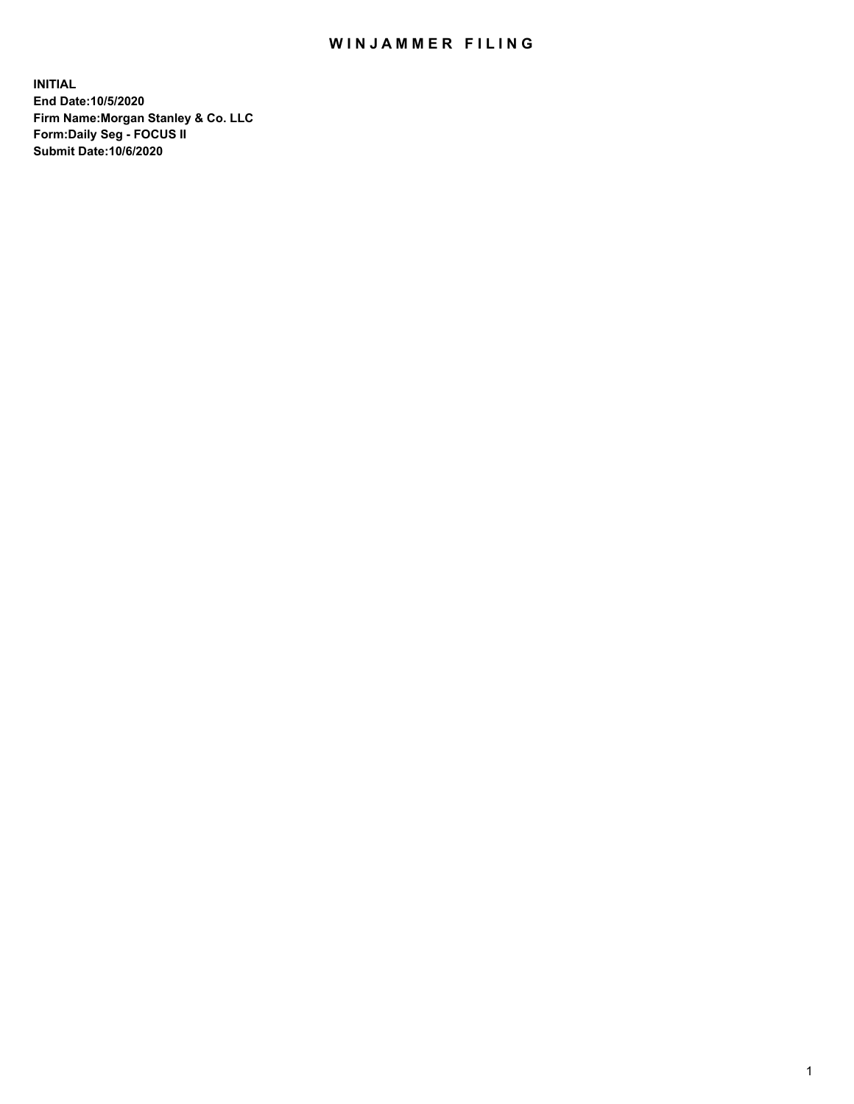## WIN JAMMER FILING

**INITIAL End Date:10/5/2020 Firm Name:Morgan Stanley & Co. LLC Form:Daily Seg - FOCUS II Submit Date:10/6/2020**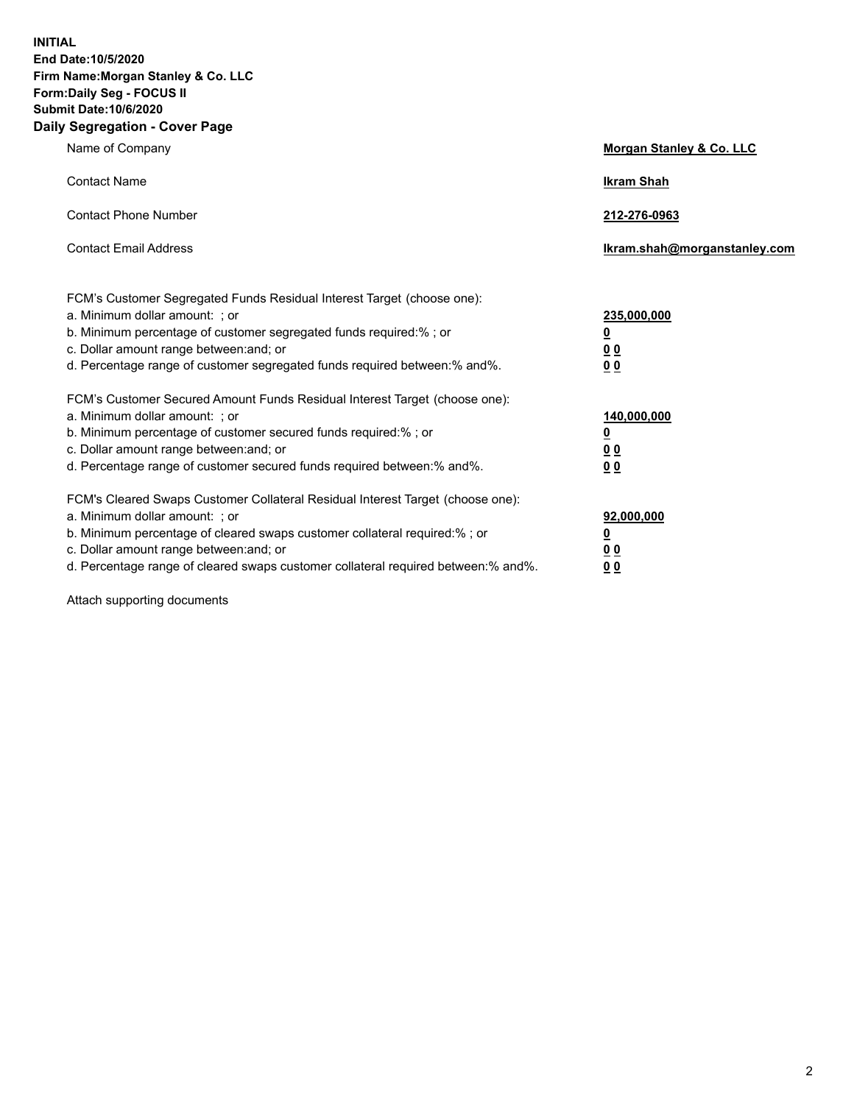**INITIAL End Date:10/5/2020 Firm Name:Morgan Stanley & Co. LLC Form:Daily Seg - FOCUS II Submit Date:10/6/2020 Daily Segregation - Cover Page**

| Name of Company                                                                                                                                                                                                                                                                                                                | Morgan Stanley & Co. LLC                                |
|--------------------------------------------------------------------------------------------------------------------------------------------------------------------------------------------------------------------------------------------------------------------------------------------------------------------------------|---------------------------------------------------------|
| <b>Contact Name</b>                                                                                                                                                                                                                                                                                                            | <b>Ikram Shah</b>                                       |
| <b>Contact Phone Number</b>                                                                                                                                                                                                                                                                                                    | 212-276-0963                                            |
| <b>Contact Email Address</b>                                                                                                                                                                                                                                                                                                   | Ikram.shah@morganstanley.com                            |
| FCM's Customer Segregated Funds Residual Interest Target (choose one):<br>a. Minimum dollar amount: ; or<br>b. Minimum percentage of customer segregated funds required:% ; or<br>c. Dollar amount range between: and; or<br>d. Percentage range of customer segregated funds required between: % and %.                       | 235,000,000<br><u>0</u><br><u>00</u><br><u>00</u>       |
| FCM's Customer Secured Amount Funds Residual Interest Target (choose one):<br>a. Minimum dollar amount: ; or<br>b. Minimum percentage of customer secured funds required:% ; or<br>c. Dollar amount range between: and; or<br>d. Percentage range of customer secured funds required between:% and%.                           | 140,000,000<br><u>0</u><br><u>0 0</u><br>0 <sub>0</sub> |
| FCM's Cleared Swaps Customer Collateral Residual Interest Target (choose one):<br>a. Minimum dollar amount: ; or<br>b. Minimum percentage of cleared swaps customer collateral required:% ; or<br>c. Dollar amount range between: and; or<br>d. Percentage range of cleared swaps customer collateral required between:% and%. | 92,000,000<br><u>0</u><br><u>00</u><br>00               |

Attach supporting documents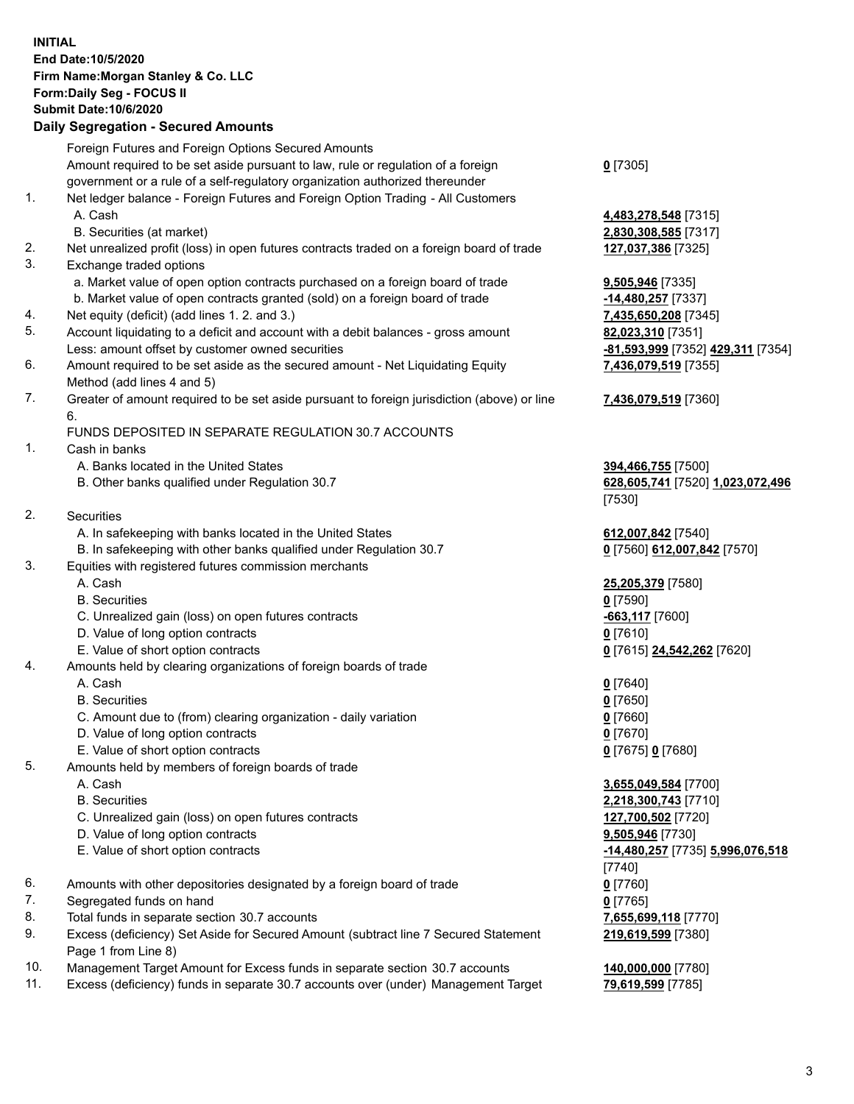## **INITIAL End Date:10/5/2020 Firm Name:Morgan Stanley & Co. LLC Form:Daily Seg - FOCUS II Submit Date:10/6/2020**

## **Daily Segregation - Secured Amounts**

|          | Foreign Futures and Foreign Options Secured Amounts                                                       |                           |
|----------|-----------------------------------------------------------------------------------------------------------|---------------------------|
|          | Amount required to be set aside pursuant to law, rule or regulation of a foreign                          | $0$ [7305]                |
|          | government or a rule of a self-regulatory organization authorized thereunder                              |                           |
| 1.       | Net ledger balance - Foreign Futures and Foreign Option Trading - All Customers                           |                           |
|          | A. Cash                                                                                                   | 4,483,278,548 [731        |
|          | B. Securities (at market)                                                                                 | 2,830,308,585 [731        |
| 2.<br>3. | Net unrealized profit (loss) in open futures contracts traded on a foreign board of trade                 | 127,037,386 [7325]        |
|          | Exchange traded options<br>a. Market value of open option contracts purchased on a foreign board of trade | 9,505,946 [7335]          |
|          | b. Market value of open contracts granted (sold) on a foreign board of trade                              | -14,480,257 [7337]        |
| 4.       | Net equity (deficit) (add lines 1.2. and 3.)                                                              | 7,435,650,208 [734        |
| 5.       | Account liquidating to a deficit and account with a debit balances - gross amount                         | 82,023,310 [7351]         |
|          | Less: amount offset by customer owned securities                                                          | <u>-81,593,999</u> [7352] |
| 6.       | Amount required to be set aside as the secured amount - Net Liquidating Equity                            | 7,436,079,519 [735        |
|          | Method (add lines 4 and 5)                                                                                |                           |
| 7.       | Greater of amount required to be set aside pursuant to foreign jurisdiction (above) or line               | 7,436,079,519 [736        |
|          | 6.                                                                                                        |                           |
|          | FUNDS DEPOSITED IN SEPARATE REGULATION 30.7 ACCOUNTS                                                      |                           |
| 1.       | Cash in banks                                                                                             |                           |
|          | A. Banks located in the United States                                                                     | 394,466,755 [7500]        |
|          | B. Other banks qualified under Regulation 30.7                                                            | 628,605,741 [7520]        |
|          |                                                                                                           | [7530]                    |
| 2.       | Securities                                                                                                |                           |
|          | A. In safekeeping with banks located in the United States                                                 | 612,007,842 [7540]        |
|          | B. In safekeeping with other banks qualified under Regulation 30.7                                        | 0 [7560] 612,007,84       |
| 3.       | Equities with registered futures commission merchants                                                     |                           |
|          | A. Cash                                                                                                   | 25,205,379 [7580]         |
|          | <b>B.</b> Securities                                                                                      | $0$ [7590]                |
|          | C. Unrealized gain (loss) on open futures contracts                                                       | $-663,117$ [7600]         |
|          | D. Value of long option contracts                                                                         | $0$ [7610]                |
|          | E. Value of short option contracts                                                                        | 0 [7615] 24,542,262       |
| 4.       | Amounts held by clearing organizations of foreign boards of trade                                         |                           |
|          | A. Cash                                                                                                   | $0$ [7640]                |
|          | <b>B.</b> Securities                                                                                      | $0$ [7650]                |
|          | C. Amount due to (from) clearing organization - daily variation                                           | $0$ [7660]                |
|          | D. Value of long option contracts                                                                         | $0$ [7670]                |
|          | E. Value of short option contracts                                                                        | 0 [7675] 0 [7680]         |
| 5.       | Amounts held by members of foreign boards of trade                                                        |                           |
|          | A. Cash                                                                                                   | 3,655,049,584 [770        |
|          | <b>B.</b> Securities                                                                                      | 2,218,300,743 [771        |
|          | C. Unrealized gain (loss) on open futures contracts                                                       | 127,700,502 [7720]        |
|          | D. Value of long option contracts                                                                         | 9,505,946 [7730]          |
|          | E. Value of short option contracts                                                                        | -14,480,257 [7735]        |
|          |                                                                                                           | [7740]                    |
| 6.       | Amounts with other depositories designated by a foreign board of trade                                    | $0$ [7760]                |
| 7.       | Segregated funds on hand                                                                                  | $0$ [7765]                |
| 8.       | Total funds in separate section 30.7 accounts                                                             | 7,655,699,118 [777        |
| 9.       | Excess (deficiency) Set Aside for Secured Amount (subtract line 7 Secured Statement                       | 219,619,599 [7380]        |
|          | Page 1 from Line 8)                                                                                       |                           |

- 10. Management Target Amount for Excess funds in separate section 30.7 accounts **140,000,000** [7780]
- 11. Excess (deficiency) funds in separate 30.7 accounts over (under) Management Target **79,619,599** [7785]

**78,548** [7315] **08,585** [7317]

50,208 [7345] Less: amount offset by customer owned securities **-81,593,999** [7352] **429,311** [7354] **79,519** [7355]

## **79,519** [7360]

**6,755** [7500] B. Other banks qualified under Regulation 30.7 **628,605,741** [7520] **1,023,072,496**

**7,842** [7540] B. In safe **612,007,842** [7570]

E. Value of short option contracts **0** [7615] **24,542,262** [7620]

A. 584<sub>[7700]</sub> **00,743** [7710] C. Unrealized gain (loss) on open futures contracts **127,700,502** [7720] E. Value of short option contracts **-14,480,257** [7735] **5,996,076,518** 89.118 [7770] **219,619,599** [7380]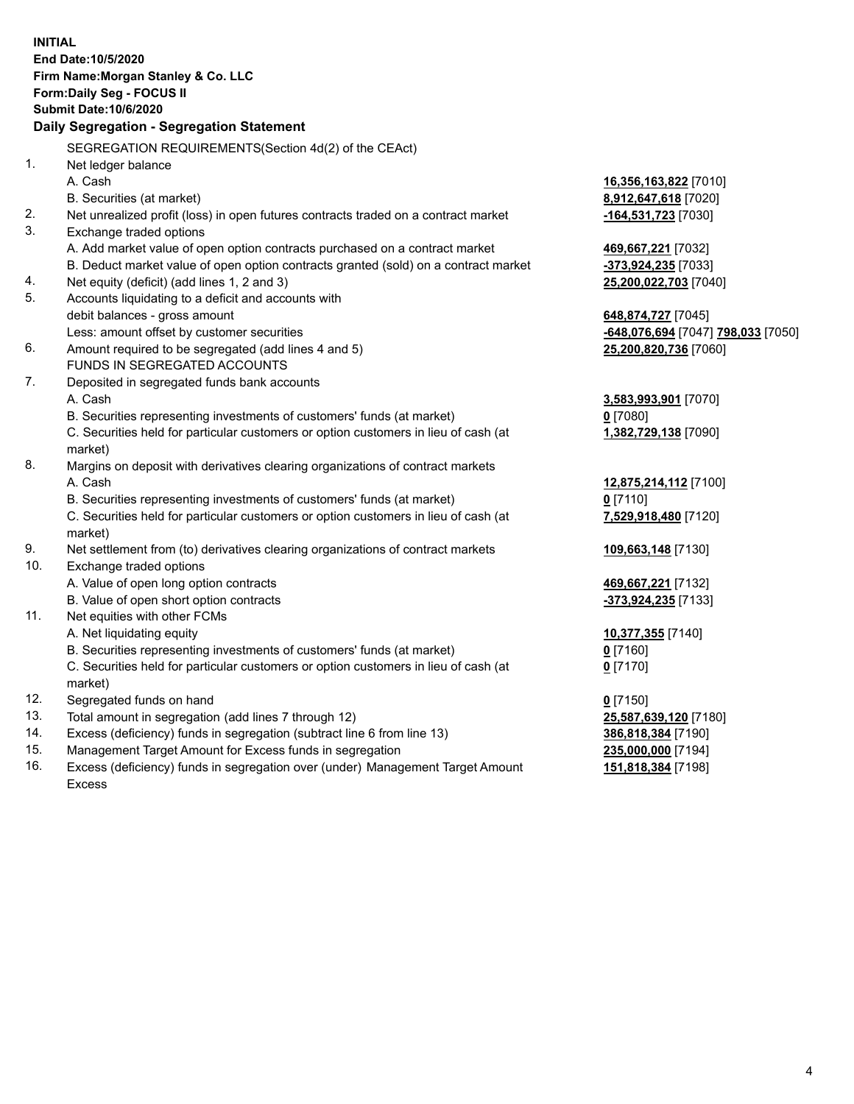|                | <b>INITIAL</b><br>End Date: 10/5/2020<br>Firm Name: Morgan Stanley & Co. LLC<br>Form: Daily Seg - FOCUS II<br><b>Submit Date: 10/6/2020</b><br>Daily Segregation - Segregation Statement |                                    |
|----------------|------------------------------------------------------------------------------------------------------------------------------------------------------------------------------------------|------------------------------------|
|                | SEGREGATION REQUIREMENTS(Section 4d(2) of the CEAct)                                                                                                                                     |                                    |
| 1 <sub>1</sub> | Net ledger balance                                                                                                                                                                       |                                    |
|                | A. Cash                                                                                                                                                                                  | 16,356,163,822 [7010]              |
|                | B. Securities (at market)                                                                                                                                                                | 8,912,647,618 [7020]               |
| 2.             | Net unrealized profit (loss) in open futures contracts traded on a contract market                                                                                                       | -164,531,723 [7030]                |
| 3.             | Exchange traded options                                                                                                                                                                  |                                    |
|                | A. Add market value of open option contracts purchased on a contract market                                                                                                              | 469,667,221 [7032]                 |
|                | B. Deduct market value of open option contracts granted (sold) on a contract market                                                                                                      | -373,924,235 [7033]                |
| 4.             | Net equity (deficit) (add lines 1, 2 and 3)                                                                                                                                              | 25,200,022,703 [7040]              |
| 5.             | Accounts liquidating to a deficit and accounts with                                                                                                                                      |                                    |
|                | debit balances - gross amount                                                                                                                                                            | 648,874,727 [7045]                 |
|                | Less: amount offset by customer securities                                                                                                                                               | -648,076,694 [7047] 798,033 [7050] |
| 6.             | Amount required to be segregated (add lines 4 and 5)                                                                                                                                     | 25,200,820,736 [7060]              |
|                | FUNDS IN SEGREGATED ACCOUNTS                                                                                                                                                             |                                    |
| 7.             | Deposited in segregated funds bank accounts                                                                                                                                              |                                    |
|                | A. Cash                                                                                                                                                                                  | 3,583,993,901 [7070]               |
|                | B. Securities representing investments of customers' funds (at market)                                                                                                                   | $0$ [7080]                         |
|                | C. Securities held for particular customers or option customers in lieu of cash (at                                                                                                      | 1,382,729,138 [7090]               |
|                | market)                                                                                                                                                                                  |                                    |
| 8.             | Margins on deposit with derivatives clearing organizations of contract markets                                                                                                           |                                    |
|                | A. Cash                                                                                                                                                                                  | 12,875,214,112 [7100]              |
|                | B. Securities representing investments of customers' funds (at market)                                                                                                                   | $0$ [7110]                         |
|                | C. Securities held for particular customers or option customers in lieu of cash (at<br>market)                                                                                           | 7,529,918,480 [7120]               |
| 9.             | Net settlement from (to) derivatives clearing organizations of contract markets                                                                                                          | 109,663,148 [7130]                 |
| 10.            | Exchange traded options                                                                                                                                                                  |                                    |
|                | A. Value of open long option contracts                                                                                                                                                   | 469,667,221 [7132]                 |
|                | B. Value of open short option contracts                                                                                                                                                  | -373,924,235 [7133]                |
| 11.            | Net equities with other FCMs                                                                                                                                                             |                                    |
|                | A. Net liquidating equity                                                                                                                                                                | 10,377,355 [7140]                  |
|                | B. Securities representing investments of customers' funds (at market)                                                                                                                   | $0$ [7160]                         |
|                | C. Securities held for particular customers or option customers in lieu of cash (at<br>market)                                                                                           | $0$ [7170]                         |
| 12.            | Segregated funds on hand                                                                                                                                                                 | $0$ [7150]                         |
| 13.            | Total amount in segregation (add lines 7 through 12)                                                                                                                                     | 25,587,639,120 [7180]              |
| 14.            | Excess (deficiency) funds in segregation (subtract line 6 from line 13)                                                                                                                  | 386,818,384 [7190]                 |
| 15.            | Management Target Amount for Excess funds in segregation                                                                                                                                 | 235,000,000 [7194]                 |
| 16.            | Excess (deficiency) funds in segregation over (under) Management Target Amount                                                                                                           | 151,818,384 [7198]                 |

16. Excess (deficiency) funds in segregation over (under) Management Target Amount Excess